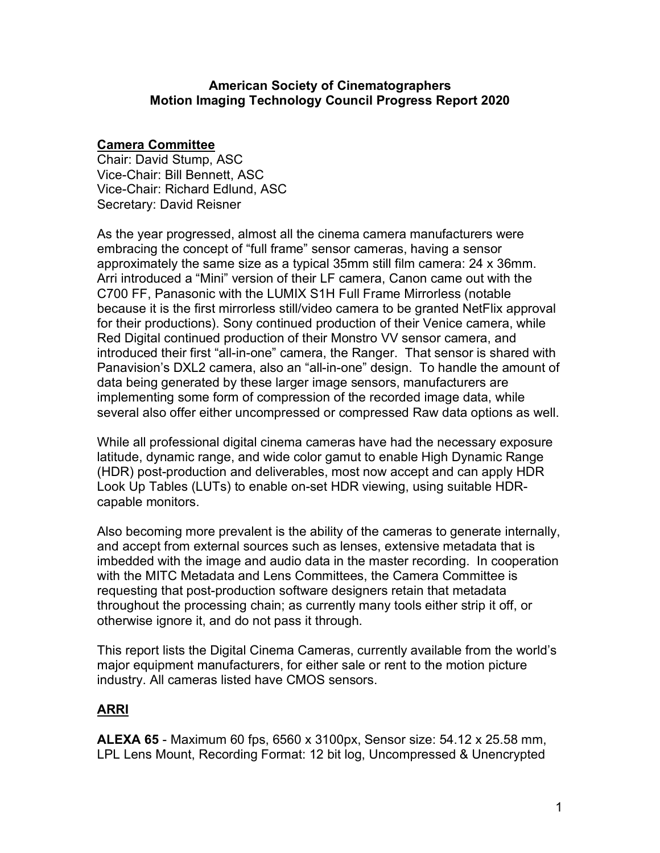#### **American Society of Cinematographers Motion Imaging Technology Council Progress Report 2020**

### **Camera Committee**

Chair: David Stump, ASC Vice-Chair: Bill Bennett, ASC Vice-Chair: Richard Edlund, ASC Secretary: David Reisner

As the year progressed, almost all the cinema camera manufacturers were embracing the concept of "full frame" sensor cameras, having a sensor approximately the same size as a typical 35mm still film camera: 24 x 36mm. Arri introduced a "Mini" version of their LF camera, Canon came out with the C700 FF, Panasonic with the LUMIX S1H Full Frame Mirrorless (notable because it is the first mirrorless still/video camera to be granted NetFlix approval for their productions). Sony continued production of their Venice camera, while Red Digital continued production of their Monstro VV sensor camera, and introduced their first "all-in-one" camera, the Ranger. That sensor is shared with Panavision's DXL2 camera, also an "all-in-one" design. To handle the amount of data being generated by these larger image sensors, manufacturers are implementing some form of compression of the recorded image data, while several also offer either uncompressed or compressed Raw data options as well.

While all professional digital cinema cameras have had the necessary exposure latitude, dynamic range, and wide color gamut to enable High Dynamic Range (HDR) post-production and deliverables, most now accept and can apply HDR Look Up Tables (LUTs) to enable on-set HDR viewing, using suitable HDRcapable monitors.

Also becoming more prevalent is the ability of the cameras to generate internally, and accept from external sources such as lenses, extensive metadata that is imbedded with the image and audio data in the master recording. In cooperation with the MITC Metadata and Lens Committees, the Camera Committee is requesting that post-production software designers retain that metadata throughout the processing chain; as currently many tools either strip it off, or otherwise ignore it, and do not pass it through.

This report lists the Digital Cinema Cameras, currently available from the world's major equipment manufacturers, for either sale or rent to the motion picture industry. All cameras listed have CMOS sensors.

### **ARRI**

**ALEXA 65** - Maximum 60 fps, 6560 x 3100px, Sensor size: 54.12 x 25.58 mm, LPL Lens Mount, Recording Format: 12 bit log, Uncompressed & Unencrypted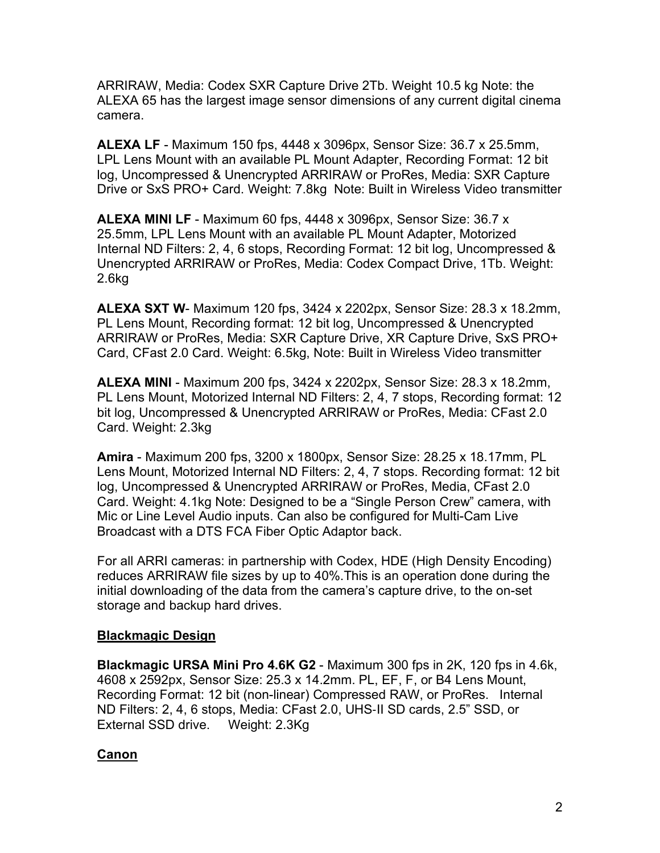ARRIRAW, Media: Codex SXR Capture Drive 2Tb. Weight 10.5 kg Note: the ALEXA 65 has the largest image sensor dimensions of any current digital cinema camera.

**ALEXA LF** - Maximum 150 fps, 4448 x 3096px, Sensor Size: 36.7 x 25.5mm, LPL Lens Mount with an available PL Mount Adapter, Recording Format: 12 bit log, Uncompressed & Unencrypted ARRIRAW or ProRes, Media: SXR Capture Drive or SxS PRO+ Card. Weight: 7.8kg Note: Built in Wireless Video transmitter

**ALEXA MINI LF** - Maximum 60 fps, 4448 x 3096px, Sensor Size: 36.7 x 25.5mm, LPL Lens Mount with an available PL Mount Adapter, Motorized Internal ND Filters: 2, 4, 6 stops, Recording Format: 12 bit log, Uncompressed & Unencrypted ARRIRAW or ProRes, Media: Codex Compact Drive, 1Tb. Weight: 2.6kg

**ALEXA SXT W**- Maximum 120 fps, 3424 x 2202px, Sensor Size: 28.3 x 18.2mm, PL Lens Mount, Recording format: 12 bit log, Uncompressed & Unencrypted ARRIRAW or ProRes, Media: SXR Capture Drive, XR Capture Drive, SxS PRO+ Card, CFast 2.0 Card. Weight: 6.5kg, Note: Built in Wireless Video transmitter

**ALEXA MINI** - Maximum 200 fps, 3424 x 2202px, Sensor Size: 28.3 x 18.2mm, PL Lens Mount, Motorized Internal ND Filters: 2, 4, 7 stops, Recording format: 12 bit log, Uncompressed & Unencrypted ARRIRAW or ProRes, Media: CFast 2.0 Card. Weight: 2.3kg

**Amira** - Maximum 200 fps, 3200 x 1800px, Sensor Size: 28.25 x 18.17mm, PL Lens Mount, Motorized Internal ND Filters: 2, 4, 7 stops. Recording format: 12 bit log, Uncompressed & Unencrypted ARRIRAW or ProRes, Media, CFast 2.0 Card. Weight: 4.1kg Note: Designed to be a "Single Person Crew" camera, with Mic or Line Level Audio inputs. Can also be configured for Multi-Cam Live Broadcast with a DTS FCA Fiber Optic Adaptor back.

For all ARRI cameras: in partnership with Codex, HDE (High Density Encoding) reduces ARRIRAW file sizes by up to 40%.This is an operation done during the initial downloading of the data from the camera's capture drive, to the on-set storage and backup hard drives.

### **Blackmagic Design**

**Blackmagic URSA Mini Pro 4.6K G2** - Maximum 300 fps in 2K, 120 fps in 4.6k, 4608 x 2592px, Sensor Size: 25.3 x 14.2mm. PL, EF, F, or B4 Lens Mount, Recording Format: 12 bit (non-linear) Compressed RAW, or ProRes. Internal ND Filters: 2, 4, 6 stops, Media: CFast 2.0, UHS-II SD cards, 2.5" SSD, or External SSD drive. Weight: 2.3Kg

# **Canon**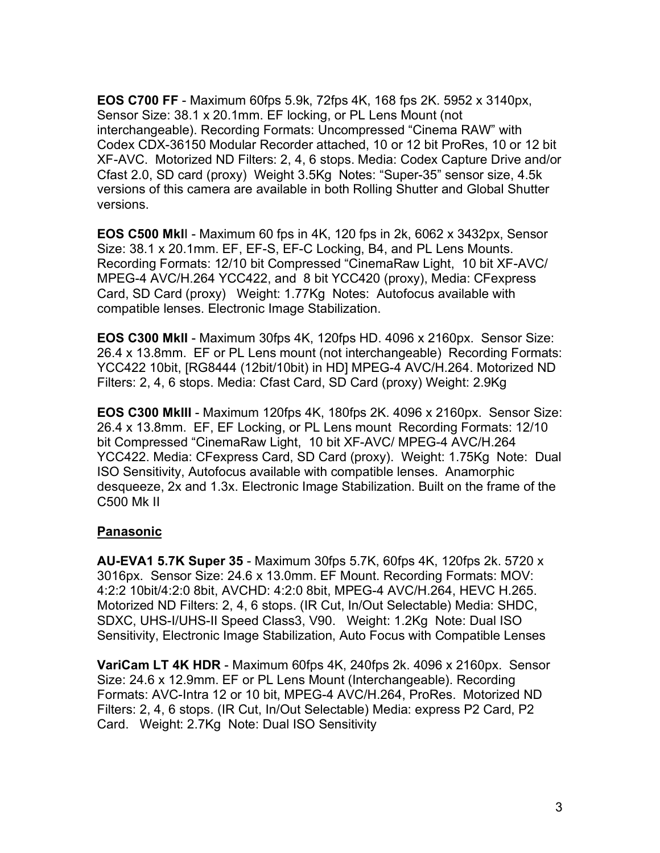**EOS C700 FF** - Maximum 60fps 5.9k, 72fps 4K, 168 fps 2K. 5952 x 3140px, Sensor Size: 38.1 x 20.1mm. EF locking, or PL Lens Mount (not interchangeable). Recording Formats: Uncompressed "Cinema RAW" with Codex CDX-36150 Modular Recorder attached, 10 or 12 bit ProRes, 10 or 12 bit XF-AVC. Motorized ND Filters: 2, 4, 6 stops. Media: Codex Capture Drive and/or Cfast 2.0, SD card (proxy) Weight 3.5Kg Notes: "Super-35" sensor size, 4.5k versions of this camera are available in both Rolling Shutter and Global Shutter versions.

**EOS C500 MkI**I - Maximum 60 fps in 4K, 120 fps in 2k, 6062 x 3432px, Sensor Size: 38.1 x 20.1mm. EF, EF-S, EF-C Locking, B4, and PL Lens Mounts. Recording Formats: 12/10 bit Compressed "CinemaRaw Light, 10 bit XF-AVC/ MPEG-4 AVC/H.264 YCC422, and 8 bit YCC420 (proxy), Media: CFexpress Card, SD Card (proxy) Weight: 1.77Kg Notes: Autofocus available with compatible lenses. Electronic Image Stabilization.

**EOS C300 MkII** - Maximum 30fps 4K, 120fps HD. 4096 x 2160px. Sensor Size: 26.4 x 13.8mm. EF or PL Lens mount (not interchangeable) Recording Formats: YCC422 10bit, [RG8444 (12bit/10bit) in HD] MPEG-4 AVC/H.264. Motorized ND Filters: 2, 4, 6 stops. Media: Cfast Card, SD Card (proxy) Weight: 2.9Kg

**EOS C300 MkIII** - Maximum 120fps 4K, 180fps 2K. 4096 x 2160px. Sensor Size: 26.4 x 13.8mm. EF, EF Locking, or PL Lens mount Recording Formats: 12/10 bit Compressed "CinemaRaw Light, 10 bit XF-AVC/ MPEG-4 AVC/H.264 YCC422. Media: CFexpress Card, SD Card (proxy). Weight: 1.75Kg Note: Dual ISO Sensitivity, Autofocus available with compatible lenses. Anamorphic desqueeze, 2x and 1.3x. Electronic Image Stabilization. Built on the frame of the C500 Mk II

### **Panasonic**

**AU-EVA1 5.7K Super 35** - Maximum 30fps 5.7K, 60fps 4K, 120fps 2k. 5720 x 3016px. Sensor Size: 24.6 x 13.0mm. EF Mount. Recording Formats: MOV: 4:2:2 10bit/4:2:0 8bit, AVCHD: 4:2:0 8bit, MPEG-4 AVC/H.264, HEVC H.265. Motorized ND Filters: 2, 4, 6 stops. (IR Cut, In/Out Selectable) Media: SHDC, SDXC, UHS-I/UHS-II Speed Class3, V90. Weight: 1.2Kg Note: Dual ISO Sensitivity, Electronic Image Stabilization, Auto Focus with Compatible Lenses

**VariCam LT 4K HDR** - Maximum 60fps 4K, 240fps 2k. 4096 x 2160px. Sensor Size: 24.6 x 12.9mm. EF or PL Lens Mount (Interchangeable). Recording Formats: AVC-Intra 12 or 10 bit, MPEG-4 AVC/H.264, ProRes. Motorized ND Filters: 2, 4, 6 stops. (IR Cut, In/Out Selectable) Media: express P2 Card, P2 Card. Weight: 2.7Kg Note: Dual ISO Sensitivity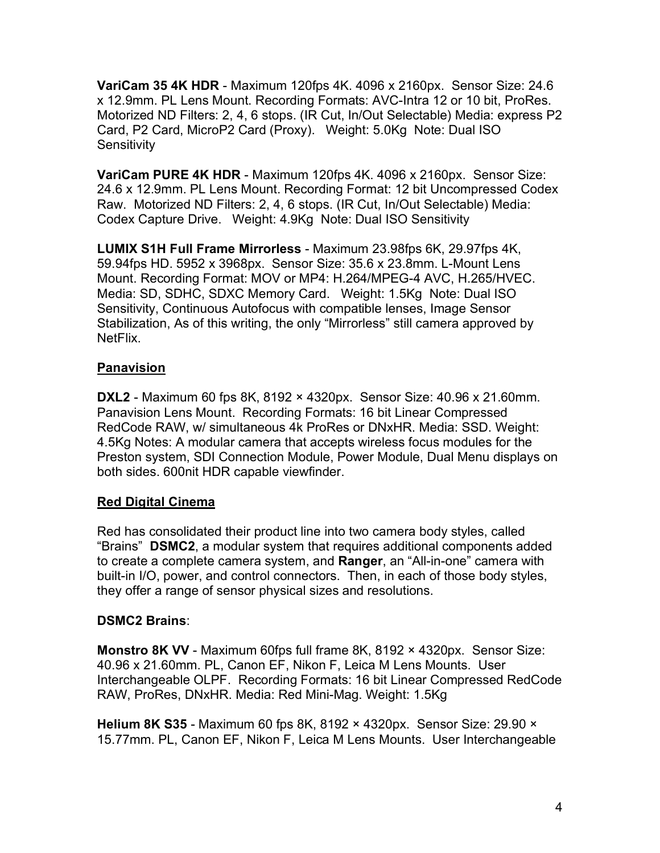**VariCam 35 4K HDR** - Maximum 120fps 4K. 4096 x 2160px. Sensor Size: 24.6 x 12.9mm. PL Lens Mount. Recording Formats: AVC-Intra 12 or 10 bit, ProRes. Motorized ND Filters: 2, 4, 6 stops. (IR Cut, In/Out Selectable) Media: express P2 Card, P2 Card, MicroP2 Card (Proxy). Weight: 5.0Kg Note: Dual ISO **Sensitivity** 

**VariCam PURE 4K HDR** - Maximum 120fps 4K. 4096 x 2160px. Sensor Size: 24.6 x 12.9mm. PL Lens Mount. Recording Format: 12 bit Uncompressed Codex Raw. Motorized ND Filters: 2, 4, 6 stops. (IR Cut, In/Out Selectable) Media: Codex Capture Drive. Weight: 4.9Kg Note: Dual ISO Sensitivity

**LUMIX S1H Full Frame Mirrorless** - Maximum 23.98fps 6K, 29.97fps 4K, 59.94fps HD. 5952 x 3968px. Sensor Size: 35.6 x 23.8mm. L-Mount Lens Mount. Recording Format: MOV or MP4: H.264/MPEG-4 AVC, H.265/HVEC. Media: SD, SDHC, SDXC Memory Card. Weight: 1.5Kg Note: Dual ISO Sensitivity, Continuous Autofocus with compatible lenses, Image Sensor Stabilization, As of this writing, the only "Mirrorless" still camera approved by NetFlix.

### **Panavision**

**DXL2** - Maximum 60 fps 8K, 8192 × 4320px. Sensor Size: 40.96 x 21.60mm. Panavision Lens Mount. Recording Formats: 16 bit Linear Compressed RedCode RAW, w/ simultaneous 4k ProRes or DNxHR. Media: SSD. Weight: 4.5Kg Notes: A modular camera that accepts wireless focus modules for the Preston system, SDI Connection Module, Power Module, Dual Menu displays on both sides. 600nit HDR capable viewfinder.

# **Red Digital Cinema**

Red has consolidated their product line into two camera body styles, called "Brains" **DSMC2**, a modular system that requires additional components added to create a complete camera system, and **Ranger**, an "All-in-one" camera with built-in I/O, power, and control connectors. Then, in each of those body styles, they offer a range of sensor physical sizes and resolutions.

# **DSMC2 Brains**:

**Monstro 8K VV** - Maximum 60fps full frame 8K, 8192 × 4320px. Sensor Size: 40.96 x 21.60mm. PL, Canon EF, Nikon F, Leica M Lens Mounts. User Interchangeable OLPF. Recording Formats: 16 bit Linear Compressed RedCode RAW, ProRes, DNxHR. Media: Red Mini-Mag. Weight: 1.5Kg

**Helium 8K S35** - Maximum 60 fps 8K, 8192 × 4320px. Sensor Size: 29.90 × 15.77mm. PL, Canon EF, Nikon F, Leica M Lens Mounts. User Interchangeable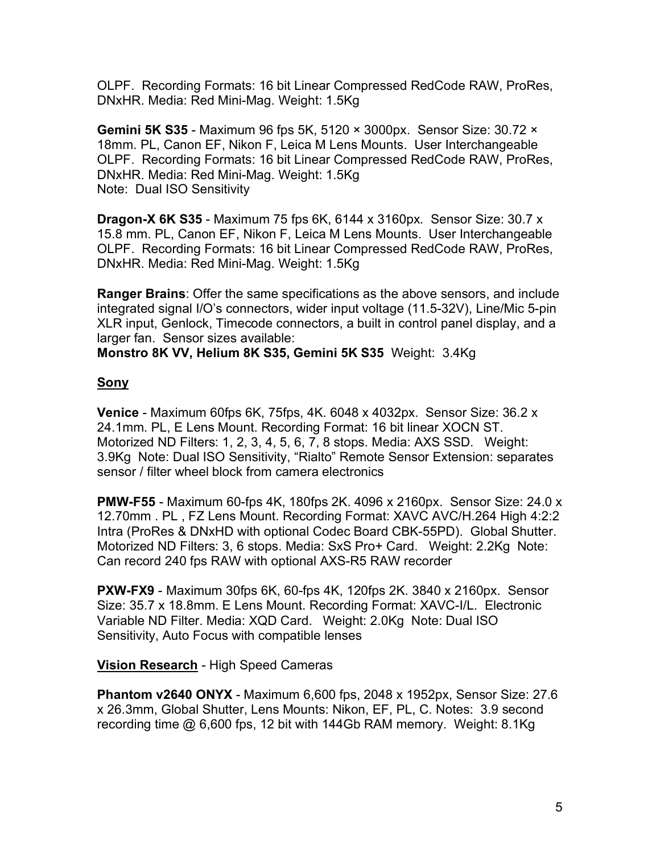OLPF. Recording Formats: 16 bit Linear Compressed RedCode RAW, ProRes, DNxHR. Media: Red Mini-Mag. Weight: 1.5Kg

**Gemini 5K S35** - Maximum 96 fps 5K, 5120 × 3000px. Sensor Size: 30.72 × 18mm. PL, Canon EF, Nikon F, Leica M Lens Mounts. User Interchangeable OLPF. Recording Formats: 16 bit Linear Compressed RedCode RAW, ProRes, DNxHR. Media: Red Mini-Mag. Weight: 1.5Kg Note: Dual ISO Sensitivity

**Dragon-X 6K S35** - Maximum 75 fps 6K, 6144 x 3160px. Sensor Size: 30.7 x 15.8 mm. PL, Canon EF, Nikon F, Leica M Lens Mounts. User Interchangeable OLPF. Recording Formats: 16 bit Linear Compressed RedCode RAW, ProRes, DNxHR. Media: Red Mini-Mag. Weight: 1.5Kg

**Ranger Brains**: Offer the same specifications as the above sensors, and include integrated signal I/O's connectors, wider input voltage (11.5-32V), Line/Mic 5-pin XLR input, Genlock, Timecode connectors, a built in control panel display, and a larger fan. Sensor sizes available:

**Monstro 8K VV, Helium 8K S35, Gemini 5K S35** Weight: 3.4Kg

### **Sony**

**Venice** - Maximum 60fps 6K, 75fps, 4K. 6048 x 4032px. Sensor Size: 36.2 x 24.1mm. PL, E Lens Mount. Recording Format: 16 bit linear XOCN ST. Motorized ND Filters: 1, 2, 3, 4, 5, 6, 7, 8 stops. Media: AXS SSD. Weight: 3.9Kg Note: Dual ISO Sensitivity, "Rialto" Remote Sensor Extension: separates sensor / filter wheel block from camera electronics

**PMW-F55** - Maximum 60-fps 4K, 180fps 2K. 4096 x 2160px. Sensor Size: 24.0 x 12.70mm . PL , FZ Lens Mount. Recording Format: XAVC AVC/H.264 High 4:2:2 Intra (ProRes & DNxHD with optional Codec Board CBK-55PD). Global Shutter. Motorized ND Filters: 3, 6 stops. Media: SxS Pro+ Card. Weight: 2.2Kg Note: Can record 240 fps RAW with optional AXS-R5 RAW recorder

**PXW-FX9** - Maximum 30fps 6K, 60-fps 4K, 120fps 2K. 3840 x 2160px. Sensor Size: 35.7 x 18.8mm. E Lens Mount. Recording Format: XAVC-I/L. Electronic Variable ND Filter. Media: XQD Card. Weight: 2.0Kg Note: Dual ISO Sensitivity, Auto Focus with compatible lenses

**Vision Research** - High Speed Cameras

**Phantom v2640 ONYX** - Maximum 6,600 fps, 2048 x 1952px, Sensor Size: 27.6 x 26.3mm, Global Shutter, Lens Mounts: Nikon, EF, PL, C. Notes: 3.9 second recording time @ 6,600 fps, 12 bit with 144Gb RAM memory. Weight: 8.1Kg